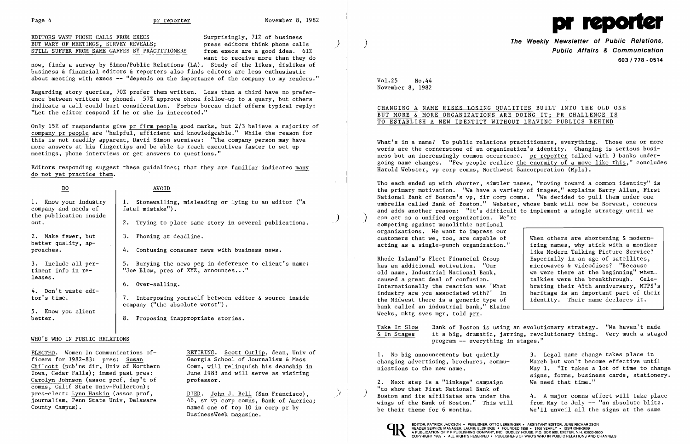now, finds a survey by Simon/Public Relations (LA). Study of the likes, dislikes of business & financial editors & reporters also finds editors are less enthusiastic about meeting with execs  $-$  "depends on the importance of the company to my readers."

want to receive more than they do

Regarding story queries, 70% prefer them written. Less than a third have no preference between written or phoned. 57% approve phone follow-up to a query, but others indicate a call could hurt consideration. Forbes bureau chief offers typical reply: "Let the editor respond if he or she is interested."

Only 15% of respondents give pr firm people good marks, but 2/3 believe a majority of company pr people are "helpful, efficient and knowledgeable." While the reason for this is not readily apparent, David Simon surmises: "The company person may have more answers at his fingertips and be able to reach executives faster to set up meetings, phone interviews or get answers to questions."

Chilcott (pub'ns dir, Univ of Northern Comn, will relinquish his deanship in Iowa, Cedar Falls); immed past pres: June 1983 and will serve as visiting Carolyn Johnson (assoc prof, dep't of professor. comns, Calif State Univ-Fullerton); pres-elect: <u>Lynn Haskin</u> (assoc prof,  $DIED.$  <u>DIED</u>. John J. Bell (San Francisco), journalism, Penn State Univ, Delaware  $46.$  sr vp corp comns. Bank of Americ journalism, Penn State Univ, Delaware  $\begin{array}{r} 46$ , sr vp corp comns, Bank of America;<br>County Campus). The name one of top 10 in corp pr by

ELECTED. Women In Communications of-<br>
Ficers for 1982-83: pres: Susan<br>
Georgia School of Journalism & Mass Georgia School of Journalism & Mass

Editors responding suggest these guidelines; that they are familiar' indicates many do not yet practice them.

> named one of top 10 in corp pr by BusinessWeek magazine.

**The Weekly Newsletter of Public Relations, Public Affairs & Communication 603/778 - 0514** 

What's in a name? To public relations practitioners, everything. Those one or more words are the cornerstone of an organization's identity. Changing is serious business but an increasingly common occurrence. pr reporter talked with 3 banks undergoing name changes. "Few people realize the enormity of a move like this," concludes Harold Webster, vp corp comns, Northwest Bancorporation (Mpls).

| DO.                                                                             | AVOID                                                                                                                               |  |
|---------------------------------------------------------------------------------|-------------------------------------------------------------------------------------------------------------------------------------|--|
| 1. Know your industry<br>company and needs of<br>the publication inside<br>out. | Stonewalling, misleading or lying to an editor ("a<br>fatal mistake").<br>Trying to place same story in several publications.<br>2. |  |
| 2. Make fewer, but<br>better quality, ap-<br>proaches.                          | 3. Phoning at deadline.<br>4. Confusing consumer news with business news.                                                           |  |
| 3. Include all per-<br>tinent info in re-<br>leases.                            | 5. Burying the news peg in deference to client's name:<br>"Joe Blow, pres of XYZ, announces"                                        |  |
| 4. Don't waste edi-<br>tor's time.                                              | $6.$ Over-selling.<br>Interposing yourself between editor & source inside<br>7.<br>company ("the absolute worst").                  |  |
| 5. Know you client<br>better.                                                   | Proposing inappropriate stories.<br>8.                                                                                              |  |

Tho each ended up with shorter, simpler names, "moving toward a common identity" is the primary motivation. "We have a variety of images," explains Barry Allen, First National Bank of Boston's vp, dir corp comns. "We decided to pull them under one umbrella called Bank of Boston." Webster, whose bank will now be Norwest, concurs and adds another reason: "It's difficult to implement a single strategy until we can act as a unified organization. We're competing against monolithic national organizations. We want to impress our customers that we, too, are capable of When others are shortening & modern-<br>acting as a single-punch organization." izing names, why stick with a moniker acting as a single-punch organization."

like Modern Talking Picture Service? we were there at the beginning" when. heritage is an important part of their<br>'identity. Their name declares it.

### WHO'S WHO IN PUBLIC RELATIONS

Rhode Island's Fleet Financial Group  $\begin{array}{c|c} \text{Rhode} & \text{Especially in an age of satellites,} \\ \text{has an additional motivation.} & \text{Our} \\ \end{array}$ has an additional motivation. "Our old name, Industrial National Bank, caused a great deal of confusion.<br>Internationally the reaction was 'What brating their 45th anniversary, MTPS's Internationally the reaction was 'What | brating their 45th anniversary, MTPS's industry are you associated with?' In | heritage is an important part of their the Midwest there is a generic type of bank called an industrial bank," Elaine Weeks, mktg svcs mgr, told prr.

Take It Slow Bank of Boston is using an evolutionary strategy. "We haven't made  $\frac{c}{d}$  In Stages it a big, dramatic, jarring, revolutionary thing. Very much a stage it a big, dramatic, jarring, revolutionary thing. Very much a staged program -- everything in stages."

1. No big announcements but quietly 3. Legal name change takes place in May 1. "It takes a lot of time to change signs, forms, business cards, stationery.<br>We need that time."

changing advertising, brochures, commu-<br>
March but won't become effective until<br>
May 1. "It takes a lot of time to chan

 $2.$  Next step is a "linkage" campaign "to show that First National Bank of Boston and its affiliates are under the 4. A major comns effort will take place<br>wings of the Bank of Boston." This will from May to July -- "an absolute blitz. wings of the Bank of Boston." This will from May to July -- "an absolute blitz.<br>be their theme for 6 months. We'll unveil all the signs at the same We'll unveil all the signs at the same



EDITOR, PATRICK JACKSON · PUBLISHER, OTTO LERBINGER · ASSISTANT EDITOR, JUNE RICHARDSON<br>READER SERVICE MANAGER. LAURIE ELDRIDGE · FOUNDED 1958 · \$100 YEARLY · ISSN 0048-2609

)

 $\big)$ 



Vol. 25 No. 44 November 8, 1982

CHANGING A NAME RISKS LOSING QUALITIES BUILT INTO THE OLD ONE

# BUT MORE & MORE ORGANIZATIONS ARE DOING IT; PR CHALLENGE IS TO ESTABLISH A NEW IDENTITY WITHOUT LEAVING PUBLICS BEHIND

\ J

EDITORS WANT PHONE CALLS FROM EXECS<br>
BUT WARY OF MEETINGS, SURVEY REVEALS;<br>
Surprisingly, 71% of business and business business editors think phone calls BUT WARY OF MEETINGS, SURVEY REVEALS;<br>STILL SUFFER FROM SAME GAFFES BY PRACTITIONERS from execs are a good idea. 61% STILL SUFFER FROM SAME GAFFES BY PRACTITIONERS